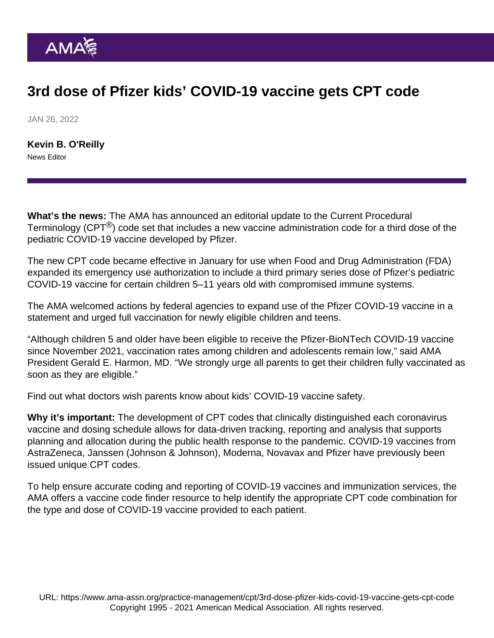## 3rd dose of Pfizer kids' COVID-19 vaccine gets CPT code

JAN 26, 2022

[Kevin B. O'Reilly](https://www.ama-assn.org/news-leadership-viewpoints/authors-news-leadership-viewpoints/kevin-b-oreilly) News Editor

What's the news: The AMA has announced an editorial update to the [Current Procedural](https://www.ama-assn.org/practice-management/cpt) [Terminology](https://www.ama-assn.org/practice-management/cpt) (CPT $^{\circledR}$ ) code set that includes a new vaccine administration code for a third dose of the pediatric COVID-19 vaccine developed by Pfizer.

The new CPT code became effective in January for use when Food and Drug Administration (FDA) [expanded](https://www.fda.gov/news-events/press-announcements/coronavirus-covid-19-update-fda-takes-multiple-actions-expand-use-pfizer-biontech-covid-19-vaccine) its emergency use authorization to include a third primary series dose of Pfizer's pediatric COVID-19 vaccine for certain children 5–11 years old with compromised immune systems.

The AMA welcomed actions by federal agencies to expand use of the Pfizer COVID-19 vaccine in a [statement](https://www.ama-assn.org/press-center/press-releases/ama-urges-covid-19-booster-newly-eligible-children-and-teens) and urged full vaccination for newly eligible children and teens.

"Although children 5 and older have been eligible to receive the Pfizer-BioNTech COVID-19 vaccine since November 2021, vaccination rates among children and adolescents remain low," said AMA President [Gerald E. Harmon, MD](https://www.ama-assn.org/about/board-trustees/gerald-e-harmon-md). "We strongly urge all parents to get their children fully vaccinated as soon as they are eligible."

Find out what [doctors wish parents know about kids' COVID-19 vaccine safety.](https://www.ama-assn.org/delivering-care/population-care/what-doctors-wish-parents-knew-about-kids-covid-19-vaccine-safety)

Why it's important: The development of CPT codes that clinically distinguished each coronavirus vaccine and dosing schedule allows for data-driven tracking, reporting and analysis that supports planning and allocation during the public health response to the pandemic. COVID-19 vaccines from AstraZeneca, Janssen (Johnson & Johnson), Moderna, Novavax and Pfizer have previously been issued unique CPT codes.

To help ensure accurate coding and reporting of COVID-19 vaccines and immunization services, the AMA offers a [vaccine code finder resource](https://www.ama-assn.org/find-covid-19-vaccine-codes) to help identify the appropriate CPT code combination for the type and dose of COVID-19 vaccine provided to each patient.